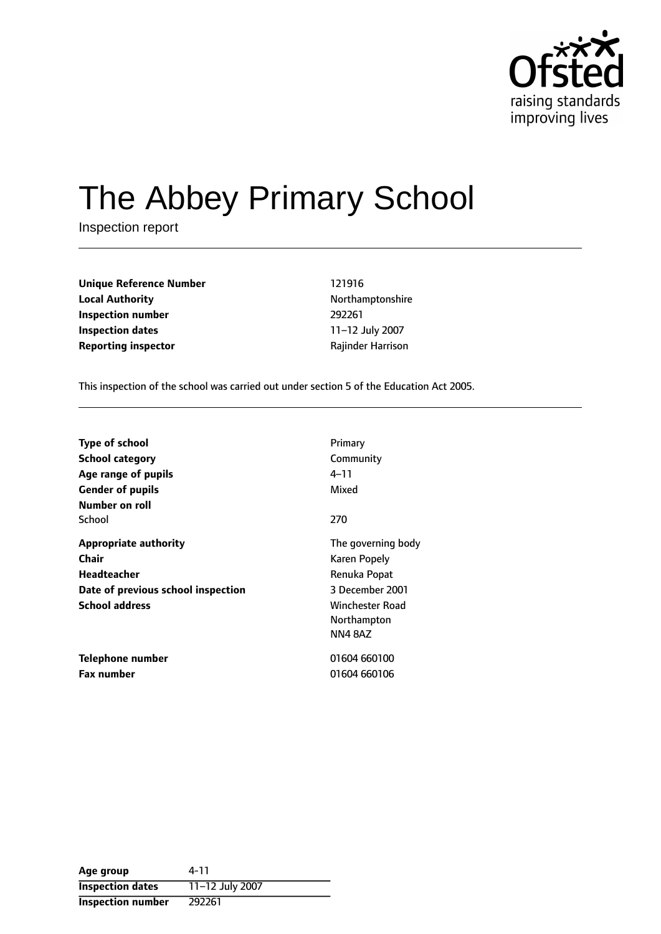

# The Abbey Primary School

Inspection report

**Unique Reference Number** 121916 **Local Authority Northamptonshire Inspection number** 292261 **Inspection dates** 11-12 July 2007 **Reporting inspector CONFIDENTIAL RAGISTION RAJING PROPERTY** 

This inspection of the school was carried out under section 5 of the Education Act 2005.

| <b>Type of school</b><br><b>School category</b><br>Age range of pupils<br><b>Gender of pupils</b><br>Number on roll        | Primary<br>Community<br>4–11<br>Mixed                                                                                           |
|----------------------------------------------------------------------------------------------------------------------------|---------------------------------------------------------------------------------------------------------------------------------|
| School                                                                                                                     | 270                                                                                                                             |
| <b>Appropriate authority</b><br>Chair<br><b>Headteacher</b><br>Date of previous school inspection<br><b>School address</b> | The governing body<br>Karen Popely<br>Renuka Popat<br>3 December 2001<br><b>Winchester Road</b><br>Northampton<br><b>NN48AZ</b> |
| Telephone number<br><b>Fax number</b>                                                                                      | 01604 660100<br>01604 660106                                                                                                    |

| Age group                | 4-11            |
|--------------------------|-----------------|
| <b>Inspection dates</b>  | 11-12 July 2007 |
| <b>Inspection number</b> | 292261          |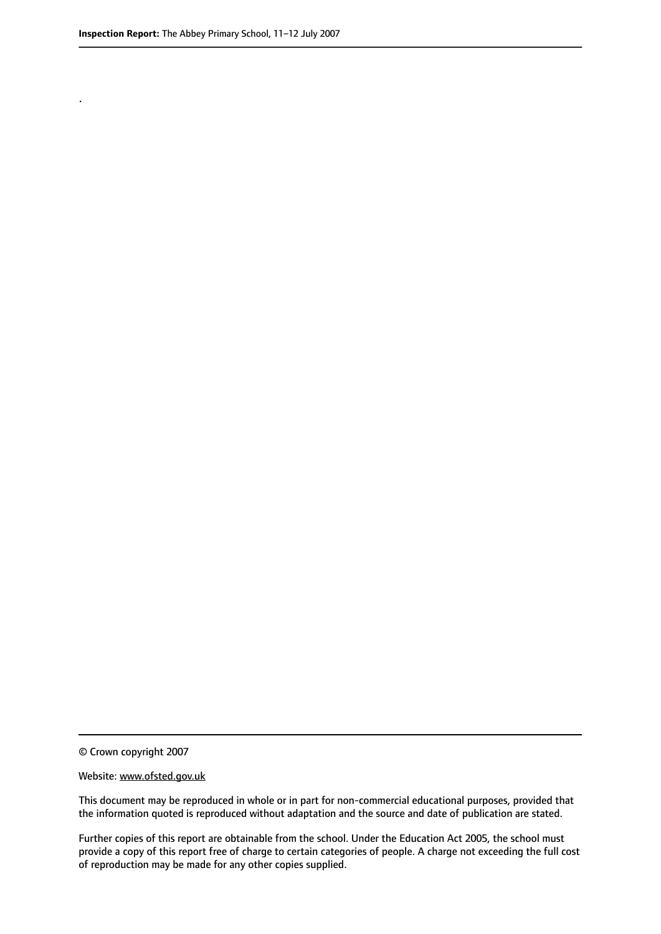.

© Crown copyright 2007

#### Website: www.ofsted.gov.uk

This document may be reproduced in whole or in part for non-commercial educational purposes, provided that the information quoted is reproduced without adaptation and the source and date of publication are stated.

Further copies of this report are obtainable from the school. Under the Education Act 2005, the school must provide a copy of this report free of charge to certain categories of people. A charge not exceeding the full cost of reproduction may be made for any other copies supplied.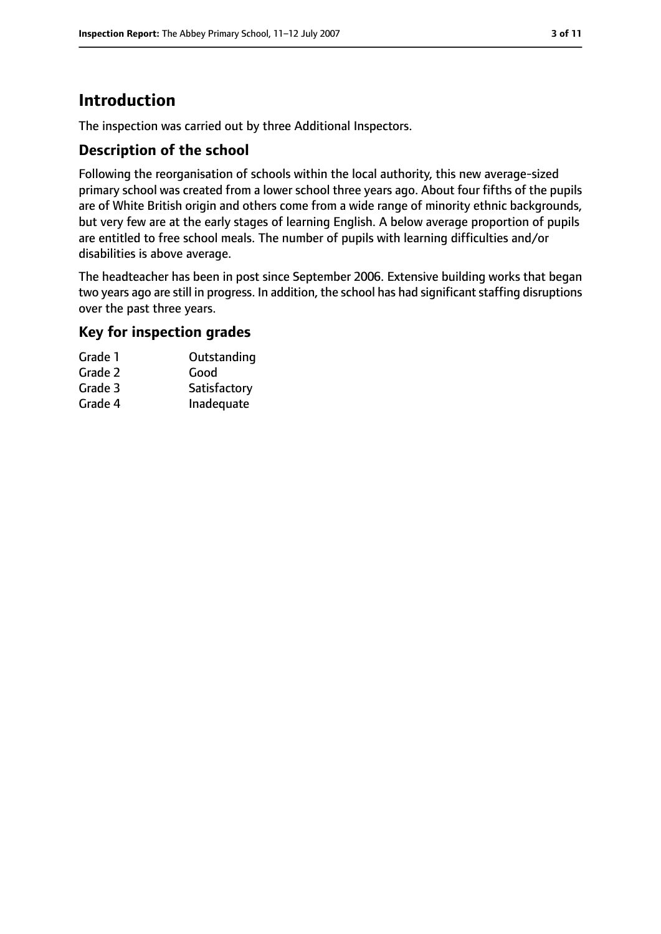## **Introduction**

The inspection was carried out by three Additional Inspectors.

#### **Description of the school**

Following the reorganisation of schools within the local authority, this new average-sized primary school was created from a lower school three years ago. About four fifths of the pupils are of White British origin and others come from a wide range of minority ethnic backgrounds, but very few are at the early stages of learning English. A below average proportion of pupils are entitled to free school meals. The number of pupils with learning difficulties and/or disabilities is above average.

The headteacher has been in post since September 2006. Extensive building works that began two years ago are still in progress. In addition, the school has had significant staffing disruptions over the past three years.

#### **Key for inspection grades**

| Grade 1 | Outstanding  |
|---------|--------------|
| Grade 2 | Good         |
| Grade 3 | Satisfactory |
| Grade 4 | Inadequate   |
|         |              |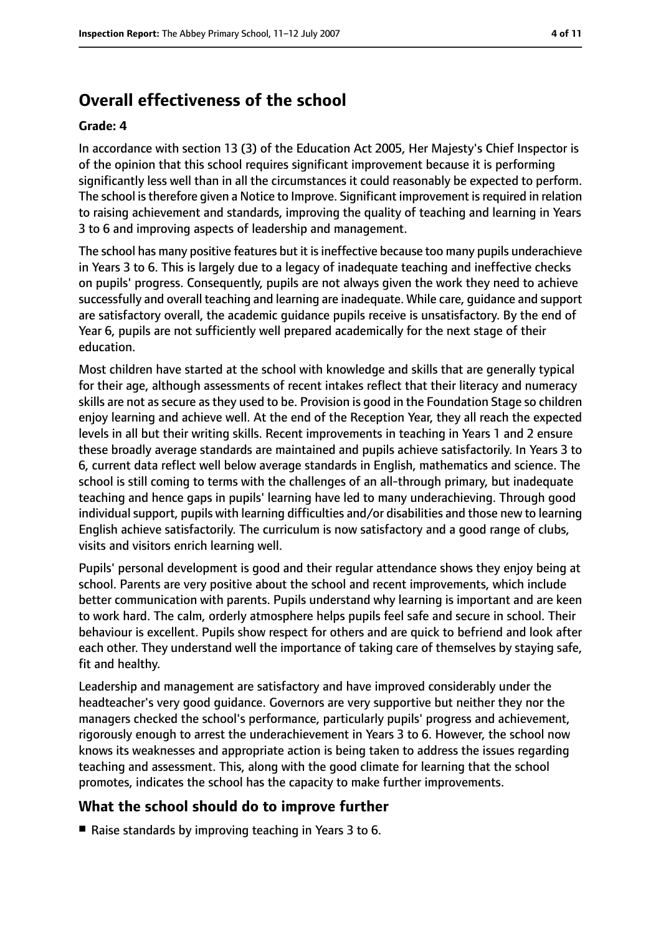## **Overall effectiveness of the school**

#### **Grade: 4**

In accordance with section 13 (3) of the Education Act 2005, Her Majesty's Chief Inspector is of the opinion that this school requires significant improvement because it is performing significantly less well than in all the circumstances it could reasonably be expected to perform. The school is therefore given a Notice to Improve. Significant improvement is required in relation to raising achievement and standards, improving the quality of teaching and learning in Years 3 to 6 and improving aspects of leadership and management.

The school has many positive features but it is ineffective because too many pupils underachieve in Years 3 to 6. This is largely due to a legacy of inadequate teaching and ineffective checks on pupils' progress. Consequently, pupils are not always given the work they need to achieve successfully and overall teaching and learning are inadequate. While care, guidance and support are satisfactory overall, the academic guidance pupils receive is unsatisfactory. By the end of Year 6, pupils are not sufficiently well prepared academically for the next stage of their education.

Most children have started at the school with knowledge and skills that are generally typical for their age, although assessments of recent intakes reflect that their literacy and numeracy skills are not as secure as they used to be. Provision is good in the Foundation Stage so children enjoy learning and achieve well. At the end of the Reception Year, they all reach the expected levels in all but their writing skills. Recent improvements in teaching in Years 1 and 2 ensure these broadly average standards are maintained and pupils achieve satisfactorily. In Years 3 to 6, current data reflect well below average standards in English, mathematics and science. The school is still coming to terms with the challenges of an all-through primary, but inadequate teaching and hence gaps in pupils' learning have led to many underachieving. Through good individual support, pupils with learning difficulties and/or disabilities and those new to learning English achieve satisfactorily. The curriculum is now satisfactory and a good range of clubs, visits and visitors enrich learning well.

Pupils' personal development is good and their regular attendance shows they enjoy being at school. Parents are very positive about the school and recent improvements, which include better communication with parents. Pupils understand why learning is important and are keen to work hard. The calm, orderly atmosphere helps pupils feel safe and secure in school. Their behaviour is excellent. Pupils show respect for others and are quick to befriend and look after each other. They understand well the importance of taking care of themselves by staying safe, fit and healthy.

Leadership and management are satisfactory and have improved considerably under the headteacher's very good guidance. Governors are very supportive but neither they nor the managers checked the school's performance, particularly pupils' progress and achievement, rigorously enough to arrest the underachievement in Years 3 to 6. However, the school now knows its weaknesses and appropriate action is being taken to address the issues regarding teaching and assessment. This, along with the good climate for learning that the school promotes, indicates the school has the capacity to make further improvements.

#### **What the school should do to improve further**

■ Raise standards by improving teaching in Years 3 to 6.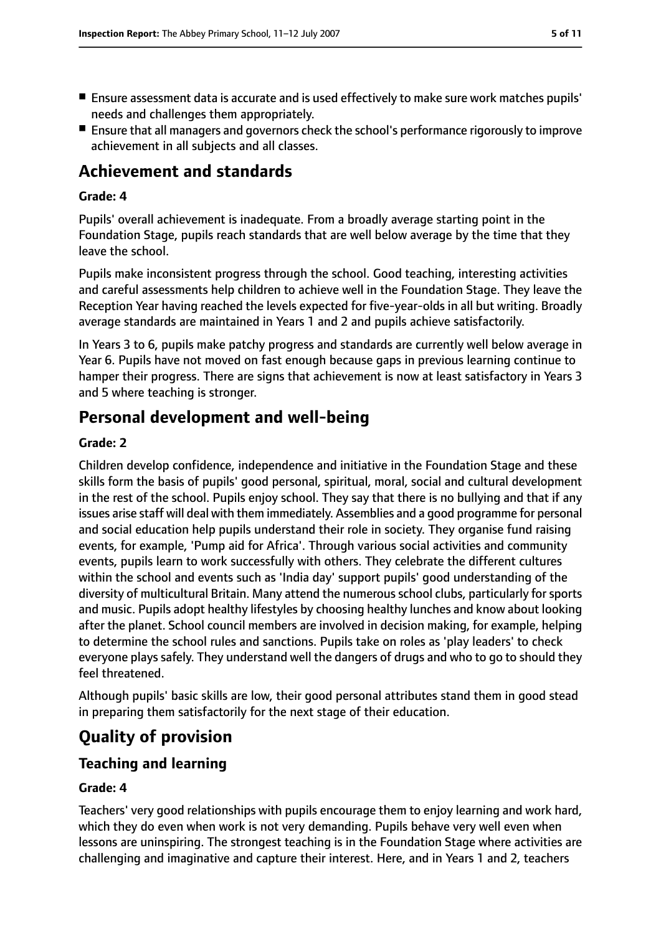- Ensure assessment data is accurate and is used effectively to make sure work matches pupils' needs and challenges them appropriately.
- Ensure that all managers and governors check the school's performance rigorously to improve achievement in all subjects and all classes.

## **Achievement and standards**

#### **Grade: 4**

Pupils' overall achievement is inadequate. From a broadly average starting point in the Foundation Stage, pupils reach standards that are well below average by the time that they leave the school.

Pupils make inconsistent progress through the school. Good teaching, interesting activities and careful assessments help children to achieve well in the Foundation Stage. They leave the Reception Year having reached the levels expected for five-year-olds in all but writing. Broadly average standards are maintained in Years 1 and 2 and pupils achieve satisfactorily.

In Years 3 to 6, pupils make patchy progress and standards are currently well below average in Year 6. Pupils have not moved on fast enough because gaps in previous learning continue to hamper their progress. There are signs that achievement is now at least satisfactory in Years 3 and 5 where teaching is stronger.

## **Personal development and well-being**

#### **Grade: 2**

Children develop confidence, independence and initiative in the Foundation Stage and these skills form the basis of pupils' good personal, spiritual, moral, social and cultural development in the rest of the school. Pupils enjoy school. They say that there is no bullying and that if any issues arise staff will deal with them immediately. Assemblies and a good programme for personal and social education help pupils understand their role in society. They organise fund raising events, for example, 'Pump aid for Africa'. Through various social activities and community events, pupils learn to work successfully with others. They celebrate the different cultures within the school and events such as 'India day' support pupils' good understanding of the diversity of multicultural Britain. Many attend the numerous school clubs, particularly for sports and music. Pupils adopt healthy lifestyles by choosing healthy lunches and know about looking after the planet. School council members are involved in decision making, for example, helping to determine the school rules and sanctions. Pupils take on roles as 'play leaders' to check everyone plays safely. They understand well the dangers of drugs and who to go to should they feel threatened.

Although pupils' basic skills are low, their good personal attributes stand them in good stead in preparing them satisfactorily for the next stage of their education.

## **Quality of provision**

#### **Teaching and learning**

#### **Grade: 4**

Teachers' very good relationships with pupils encourage them to enjoy learning and work hard, which they do even when work is not very demanding. Pupils behave very well even when lessons are uninspiring. The strongest teaching is in the Foundation Stage where activities are challenging and imaginative and capture their interest. Here, and in Years 1 and 2, teachers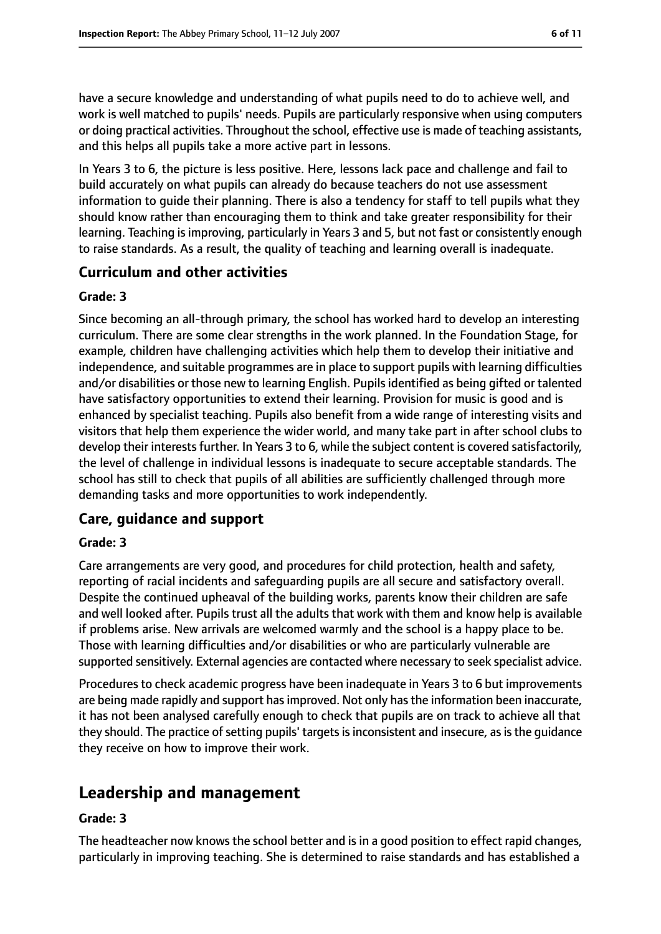have a secure knowledge and understanding of what pupils need to do to achieve well, and work is well matched to pupils' needs. Pupils are particularly responsive when using computers or doing practical activities. Throughout the school, effective use is made of teaching assistants, and this helps all pupils take a more active part in lessons.

In Years 3 to 6, the picture is less positive. Here, lessons lack pace and challenge and fail to build accurately on what pupils can already do because teachers do not use assessment information to guide their planning. There is also a tendency for staff to tell pupils what they should know rather than encouraging them to think and take greater responsibility for their learning. Teaching is improving, particularly in Years 3 and 5, but not fast or consistently enough to raise standards. As a result, the quality of teaching and learning overall is inadequate.

#### **Curriculum and other activities**

#### **Grade: 3**

Since becoming an all-through primary, the school has worked hard to develop an interesting curriculum. There are some clear strengths in the work planned. In the Foundation Stage, for example, children have challenging activities which help them to develop their initiative and independence, and suitable programmes are in place to support pupils with learning difficulties and/or disabilities or those new to learning English. Pupils identified as being gifted or talented have satisfactory opportunities to extend their learning. Provision for music is good and is enhanced by specialist teaching. Pupils also benefit from a wide range of interesting visits and visitors that help them experience the wider world, and many take part in after school clubs to develop their interests further. In Years 3 to 6, while the subject content is covered satisfactorily, the level of challenge in individual lessons is inadequate to secure acceptable standards. The school has still to check that pupils of all abilities are sufficiently challenged through more demanding tasks and more opportunities to work independently.

#### **Care, guidance and support**

#### **Grade: 3**

Care arrangements are very good, and procedures for child protection, health and safety, reporting of racial incidents and safeguarding pupils are all secure and satisfactory overall. Despite the continued upheaval of the building works, parents know their children are safe and well looked after. Pupils trust all the adults that work with them and know help is available if problems arise. New arrivals are welcomed warmly and the school is a happy place to be. Those with learning difficulties and/or disabilities or who are particularly vulnerable are supported sensitively. External agencies are contacted where necessary to seek specialist advice.

Procedures to check academic progress have been inadequate in Years 3 to 6 but improvements are being made rapidly and support has improved. Not only has the information been inaccurate, it has not been analysed carefully enough to check that pupils are on track to achieve all that they should. The practice of setting pupils' targets is inconsistent and insecure, as is the guidance they receive on how to improve their work.

## **Leadership and management**

#### **Grade: 3**

The headteacher now knows the school better and is in a good position to effect rapid changes, particularly in improving teaching. She is determined to raise standards and has established a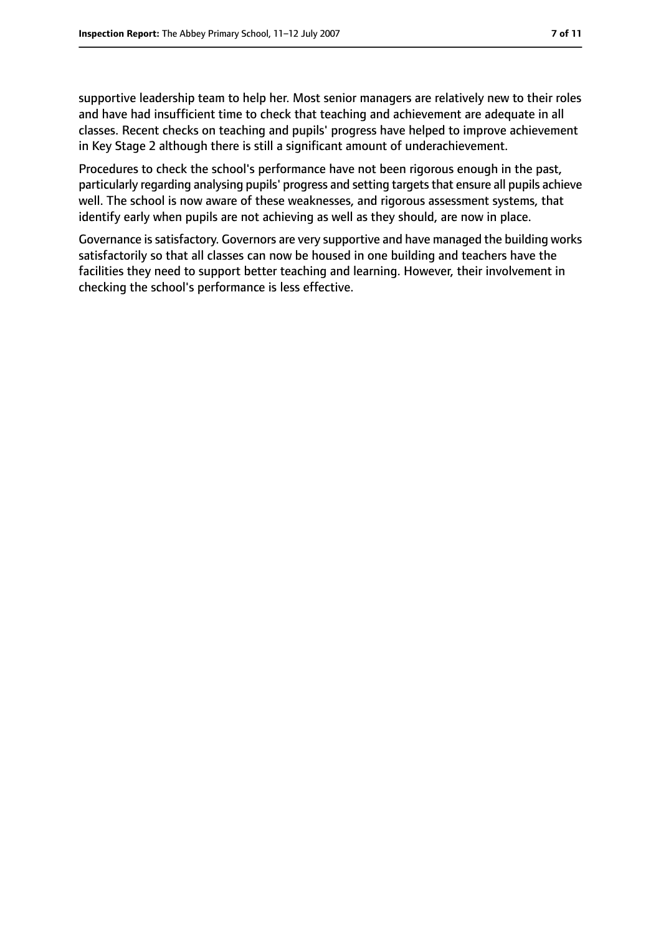supportive leadership team to help her. Most senior managers are relatively new to their roles and have had insufficient time to check that teaching and achievement are adequate in all classes. Recent checks on teaching and pupils' progress have helped to improve achievement in Key Stage 2 although there is still a significant amount of underachievement.

Procedures to check the school's performance have not been rigorous enough in the past, particularly regarding analysing pupils' progress and setting targets that ensure all pupils achieve well. The school is now aware of these weaknesses, and rigorous assessment systems, that identify early when pupils are not achieving as well as they should, are now in place.

Governance is satisfactory. Governors are very supportive and have managed the building works satisfactorily so that all classes can now be housed in one building and teachers have the facilities they need to support better teaching and learning. However, their involvement in checking the school's performance is less effective.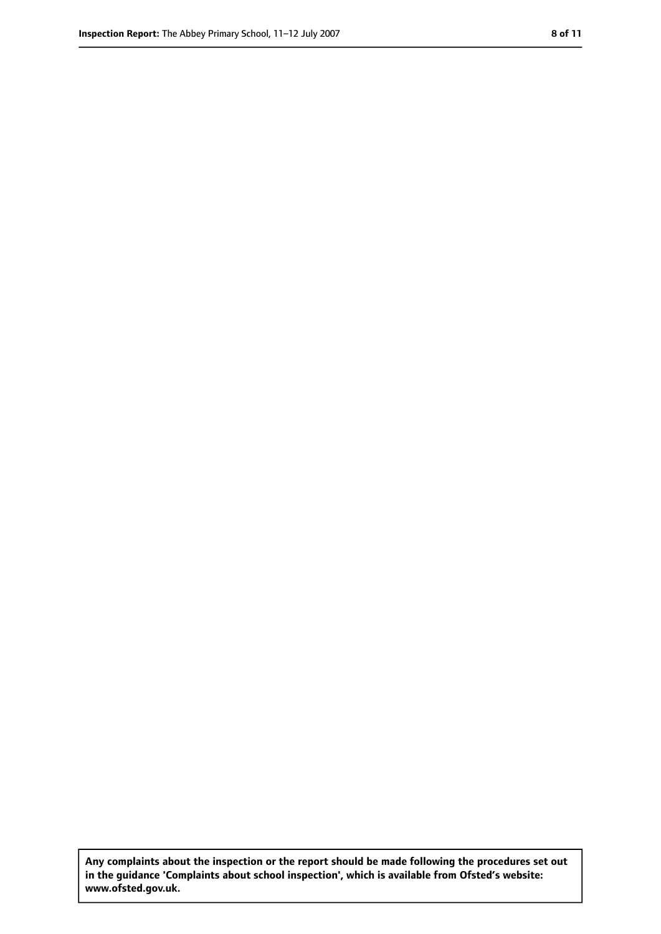**Any complaints about the inspection or the report should be made following the procedures set out in the guidance 'Complaints about school inspection', which is available from Ofsted's website: www.ofsted.gov.uk.**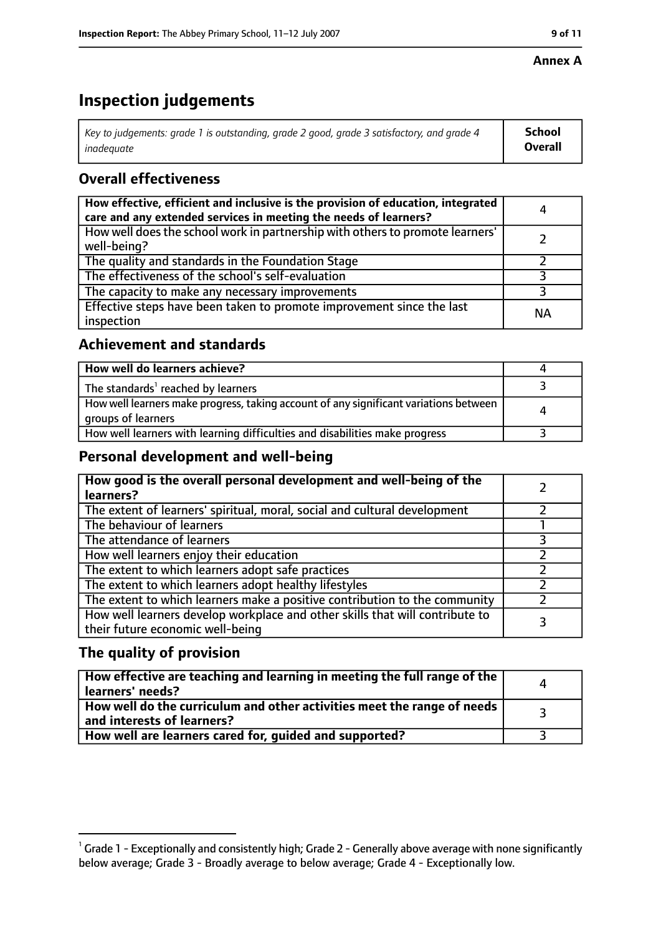#### **Annex A**

## **Inspection judgements**

| Key to judgements: grade 1 is outstanding, grade 2 good, grade 3 satisfactory, and grade 4 $\,$ | <b>School</b>  |
|-------------------------------------------------------------------------------------------------|----------------|
| inadequate                                                                                      | <b>Overall</b> |

### **Overall effectiveness**

| How effective, efficient and inclusive is the provision of education, integrated<br>care and any extended services in meeting the needs of learners? | Д         |
|------------------------------------------------------------------------------------------------------------------------------------------------------|-----------|
| How well does the school work in partnership with others to promote learners'<br>well-being?                                                         |           |
| The quality and standards in the Foundation Stage                                                                                                    |           |
| The effectiveness of the school's self-evaluation                                                                                                    |           |
| The capacity to make any necessary improvements                                                                                                      |           |
| Effective steps have been taken to promote improvement since the last<br>inspection                                                                  | <b>NA</b> |

#### **Achievement and standards**

| How well do learners achieve?                                                                               |  |
|-------------------------------------------------------------------------------------------------------------|--|
| The standards <sup>1</sup> reached by learners                                                              |  |
| How well learners make progress, taking account of any significant variations between<br>groups of learners |  |
| How well learners with learning difficulties and disabilities make progress                                 |  |

#### **Personal development and well-being**

| How good is the overall personal development and well-being of the<br>learners?                                  |  |
|------------------------------------------------------------------------------------------------------------------|--|
| The extent of learners' spiritual, moral, social and cultural development                                        |  |
| The behaviour of learners                                                                                        |  |
| The attendance of learners                                                                                       |  |
| How well learners enjoy their education                                                                          |  |
| The extent to which learners adopt safe practices                                                                |  |
| The extent to which learners adopt healthy lifestyles                                                            |  |
| The extent to which learners make a positive contribution to the community                                       |  |
| How well learners develop workplace and other skills that will contribute to<br>their future economic well-being |  |

#### **The quality of provision**

| How effective are teaching and learning in meeting the full range of the<br>learners' needs?          | $\Delta$ |
|-------------------------------------------------------------------------------------------------------|----------|
| How well do the curriculum and other activities meet the range of needs<br>and interests of learners? |          |
| How well are learners cared for, quided and supported?                                                |          |

 $^1$  Grade 1 - Exceptionally and consistently high; Grade 2 - Generally above average with none significantly below average; Grade 3 - Broadly average to below average; Grade 4 - Exceptionally low.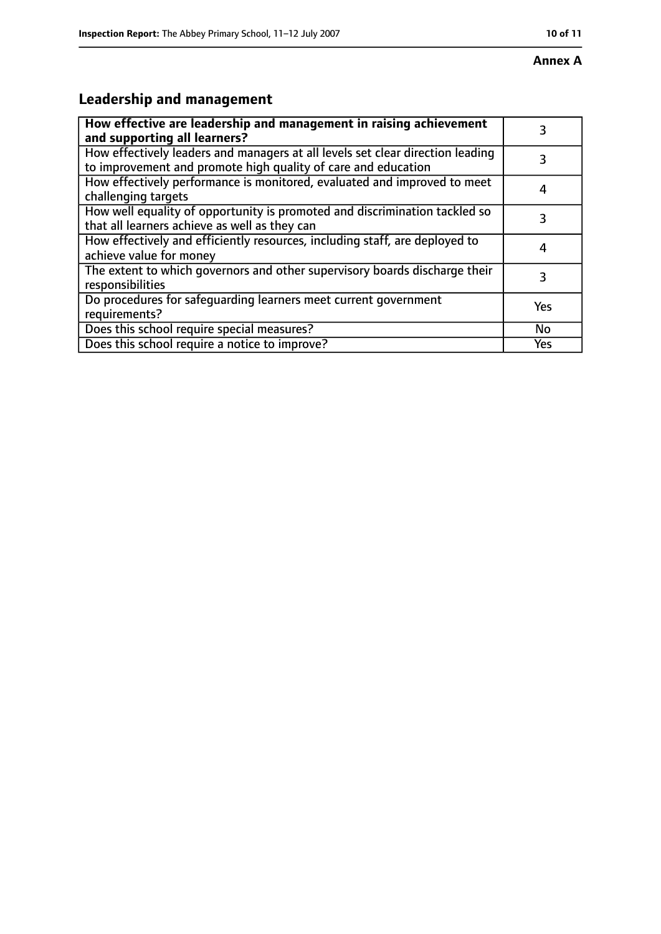## **Leadership and management**

| How effective are leadership and management in raising achievement<br>and supporting all learners?                                              | 3         |
|-------------------------------------------------------------------------------------------------------------------------------------------------|-----------|
| How effectively leaders and managers at all levels set clear direction leading<br>to improvement and promote high quality of care and education | 3         |
| How effectively performance is monitored, evaluated and improved to meet<br>challenging targets                                                 |           |
| How well equality of opportunity is promoted and discrimination tackled so<br>that all learners achieve as well as they can                     |           |
| How effectively and efficiently resources, including staff, are deployed to<br>achieve value for money                                          | 4         |
| The extent to which governors and other supervisory boards discharge their<br>responsibilities                                                  | 3         |
| Do procedures for safequarding learners meet current government<br>requirements?                                                                | Yes       |
| Does this school require special measures?                                                                                                      | <b>No</b> |
| Does this school require a notice to improve?                                                                                                   | Yes       |